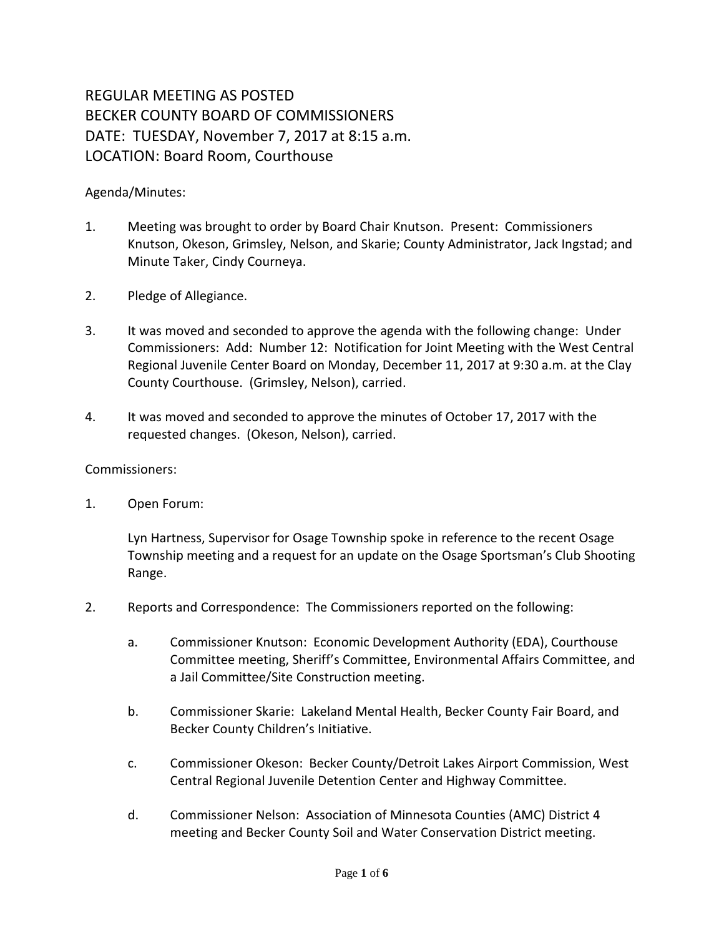## REGULAR MEETING AS POSTED BECKER COUNTY BOARD OF COMMISSIONERS DATE: TUESDAY, November 7, 2017 at 8:15 a.m. LOCATION: Board Room, Courthouse

## Agenda/Minutes:

- 1. Meeting was brought to order by Board Chair Knutson. Present: Commissioners Knutson, Okeson, Grimsley, Nelson, and Skarie; County Administrator, Jack Ingstad; and Minute Taker, Cindy Courneya.
- 2. Pledge of Allegiance.
- 3. It was moved and seconded to approve the agenda with the following change: Under Commissioners: Add: Number 12: Notification for Joint Meeting with the West Central Regional Juvenile Center Board on Monday, December 11, 2017 at 9:30 a.m. at the Clay County Courthouse. (Grimsley, Nelson), carried.
- 4. It was moved and seconded to approve the minutes of October 17, 2017 with the requested changes. (Okeson, Nelson), carried.

## Commissioners:

1. Open Forum:

Lyn Hartness, Supervisor for Osage Township spoke in reference to the recent Osage Township meeting and a request for an update on the Osage Sportsman's Club Shooting Range.

- 2. Reports and Correspondence: The Commissioners reported on the following:
	- a. Commissioner Knutson: Economic Development Authority (EDA), Courthouse Committee meeting, Sheriff's Committee, Environmental Affairs Committee, and a Jail Committee/Site Construction meeting.
	- b. Commissioner Skarie: Lakeland Mental Health, Becker County Fair Board, and Becker County Children's Initiative.
	- c. Commissioner Okeson: Becker County/Detroit Lakes Airport Commission, West Central Regional Juvenile Detention Center and Highway Committee.
	- d. Commissioner Nelson: Association of Minnesota Counties (AMC) District 4 meeting and Becker County Soil and Water Conservation District meeting.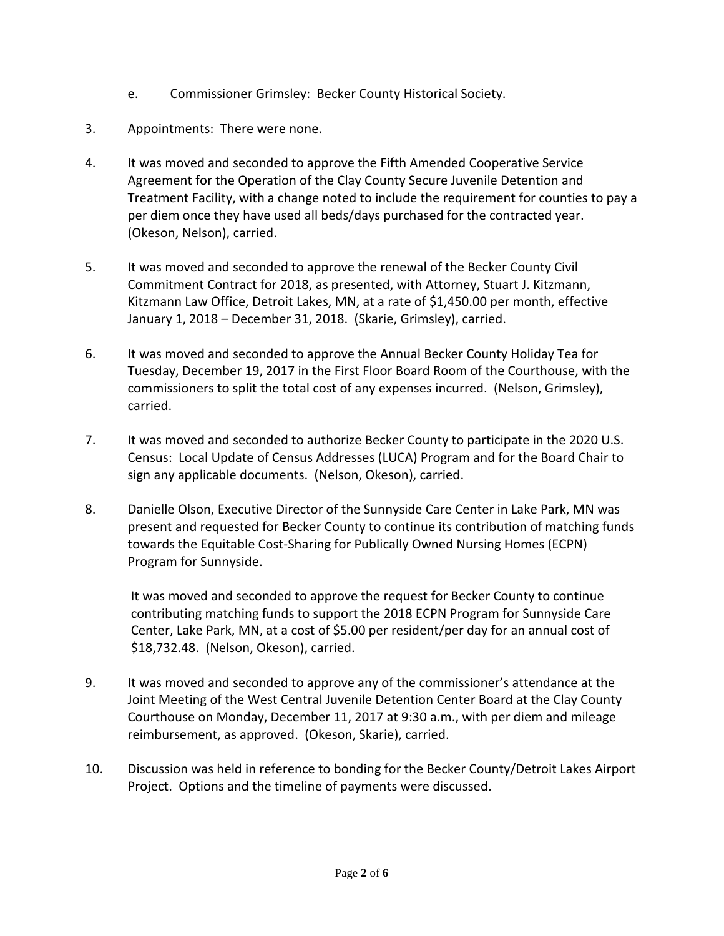- e. Commissioner Grimsley: Becker County Historical Society.
- 3. Appointments: There were none.
- 4. It was moved and seconded to approve the Fifth Amended Cooperative Service Agreement for the Operation of the Clay County Secure Juvenile Detention and Treatment Facility, with a change noted to include the requirement for counties to pay a per diem once they have used all beds/days purchased for the contracted year. (Okeson, Nelson), carried.
- 5. It was moved and seconded to approve the renewal of the Becker County Civil Commitment Contract for 2018, as presented, with Attorney, Stuart J. Kitzmann, Kitzmann Law Office, Detroit Lakes, MN, at a rate of \$1,450.00 per month, effective January 1, 2018 – December 31, 2018. (Skarie, Grimsley), carried.
- 6. It was moved and seconded to approve the Annual Becker County Holiday Tea for Tuesday, December 19, 2017 in the First Floor Board Room of the Courthouse, with the commissioners to split the total cost of any expenses incurred. (Nelson, Grimsley), carried.
- 7. It was moved and seconded to authorize Becker County to participate in the 2020 U.S. Census: Local Update of Census Addresses (LUCA) Program and for the Board Chair to sign any applicable documents. (Nelson, Okeson), carried.
- 8. Danielle Olson, Executive Director of the Sunnyside Care Center in Lake Park, MN was present and requested for Becker County to continue its contribution of matching funds towards the Equitable Cost-Sharing for Publically Owned Nursing Homes (ECPN) Program for Sunnyside.

It was moved and seconded to approve the request for Becker County to continue contributing matching funds to support the 2018 ECPN Program for Sunnyside Care Center, Lake Park, MN, at a cost of \$5.00 per resident/per day for an annual cost of \$18,732.48. (Nelson, Okeson), carried.

- 9. It was moved and seconded to approve any of the commissioner's attendance at the Joint Meeting of the West Central Juvenile Detention Center Board at the Clay County Courthouse on Monday, December 11, 2017 at 9:30 a.m., with per diem and mileage reimbursement, as approved. (Okeson, Skarie), carried.
- 10. Discussion was held in reference to bonding for the Becker County/Detroit Lakes Airport Project. Options and the timeline of payments were discussed.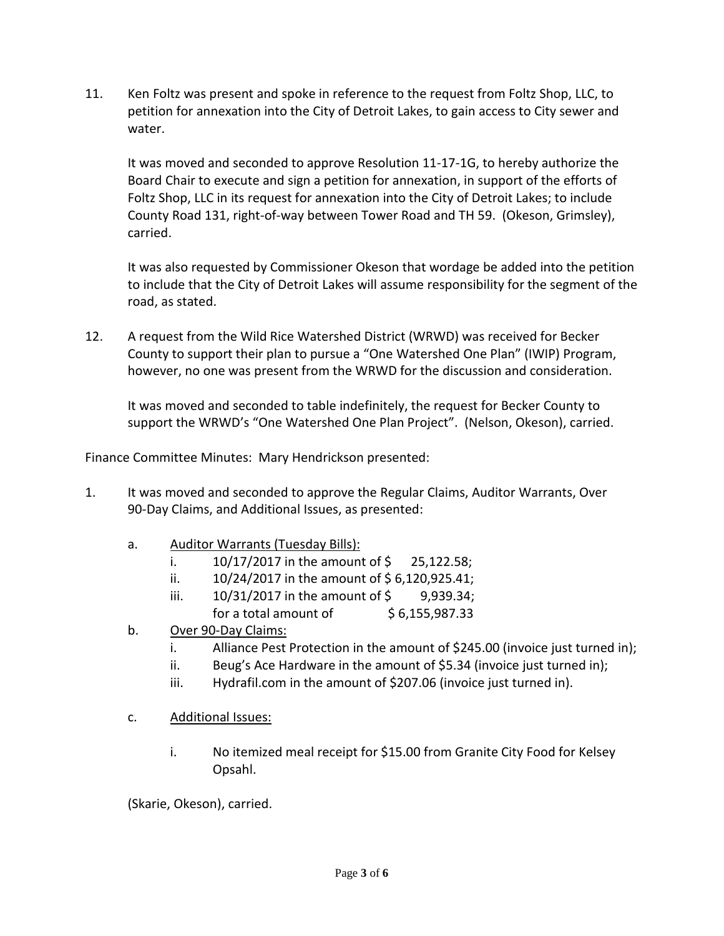11. Ken Foltz was present and spoke in reference to the request from Foltz Shop, LLC, to petition for annexation into the City of Detroit Lakes, to gain access to City sewer and water.

It was moved and seconded to approve Resolution 11-17-1G, to hereby authorize the Board Chair to execute and sign a petition for annexation, in support of the efforts of Foltz Shop, LLC in its request for annexation into the City of Detroit Lakes; to include County Road 131, right-of-way between Tower Road and TH 59. (Okeson, Grimsley), carried.

It was also requested by Commissioner Okeson that wordage be added into the petition to include that the City of Detroit Lakes will assume responsibility for the segment of the road, as stated.

12. A request from the Wild Rice Watershed District (WRWD) was received for Becker County to support their plan to pursue a "One Watershed One Plan" (IWIP) Program, however, no one was present from the WRWD for the discussion and consideration.

It was moved and seconded to table indefinitely, the request for Becker County to support the WRWD's "One Watershed One Plan Project". (Nelson, Okeson), carried.

Finance Committee Minutes: Mary Hendrickson presented:

- 1. It was moved and seconded to approve the Regular Claims, Auditor Warrants, Over 90-Day Claims, and Additional Issues, as presented:
	- a. Auditor Warrants (Tuesday Bills):
		- i.  $10/17/2017$  in the amount of \$ 25,122.58;
		- ii.  $10/24/2017$  in the amount of \$6,120,925.41;
		- iii.  $10/31/2017$  in the amount of \$ 9,939.34; for a total amount of  $$6,155,987.33$
	- b. Over 90-Day Claims:
		- i. Alliance Pest Protection in the amount of \$245.00 (invoice just turned in);
		- ii. Beug's Ace Hardware in the amount of \$5.34 (invoice just turned in);
		- iii. Hydrafil.com in the amount of \$207.06 (invoice just turned in).
	- c. Additional Issues:
		- i. No itemized meal receipt for \$15.00 from Granite City Food for Kelsey Opsahl.

(Skarie, Okeson), carried.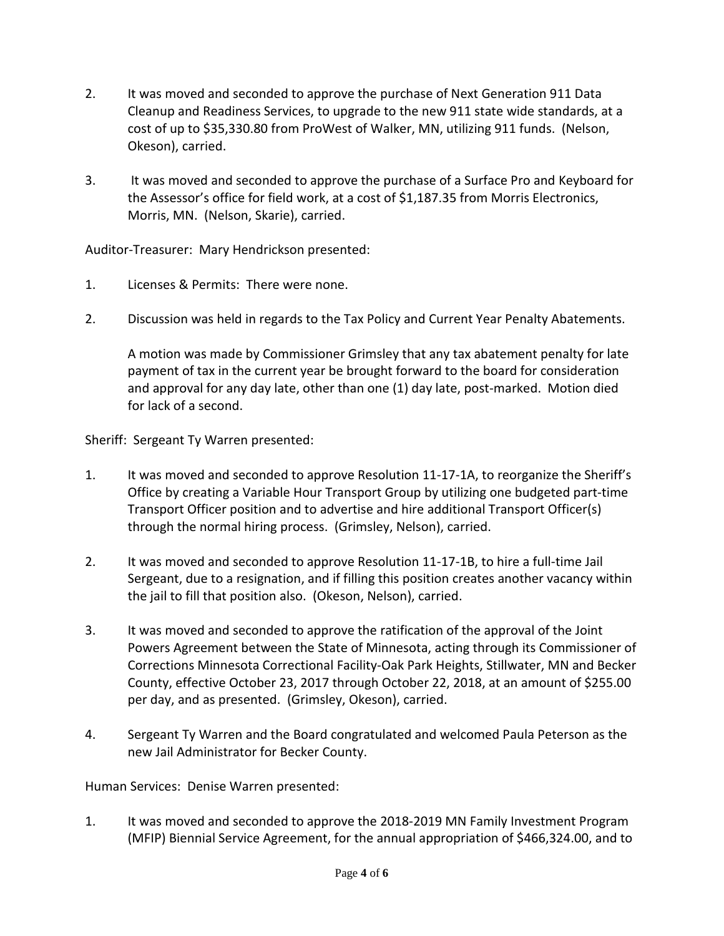- 2. It was moved and seconded to approve the purchase of Next Generation 911 Data Cleanup and Readiness Services, to upgrade to the new 911 state wide standards, at a cost of up to \$35,330.80 from ProWest of Walker, MN, utilizing 911 funds. (Nelson, Okeson), carried.
- 3. It was moved and seconded to approve the purchase of a Surface Pro and Keyboard for the Assessor's office for field work, at a cost of \$1,187.35 from Morris Electronics, Morris, MN. (Nelson, Skarie), carried.

Auditor-Treasurer: Mary Hendrickson presented:

- 1. Licenses & Permits: There were none.
- 2. Discussion was held in regards to the Tax Policy and Current Year Penalty Abatements.

A motion was made by Commissioner Grimsley that any tax abatement penalty for late payment of tax in the current year be brought forward to the board for consideration and approval for any day late, other than one (1) day late, post-marked. Motion died for lack of a second.

Sheriff: Sergeant Ty Warren presented:

- 1. It was moved and seconded to approve Resolution 11-17-1A, to reorganize the Sheriff's Office by creating a Variable Hour Transport Group by utilizing one budgeted part-time Transport Officer position and to advertise and hire additional Transport Officer(s) through the normal hiring process. (Grimsley, Nelson), carried.
- 2. It was moved and seconded to approve Resolution 11-17-1B, to hire a full-time Jail Sergeant, due to a resignation, and if filling this position creates another vacancy within the jail to fill that position also. (Okeson, Nelson), carried.
- 3. It was moved and seconded to approve the ratification of the approval of the Joint Powers Agreement between the State of Minnesota, acting through its Commissioner of Corrections Minnesota Correctional Facility-Oak Park Heights, Stillwater, MN and Becker County, effective October 23, 2017 through October 22, 2018, at an amount of \$255.00 per day, and as presented. (Grimsley, Okeson), carried.
- 4. Sergeant Ty Warren and the Board congratulated and welcomed Paula Peterson as the new Jail Administrator for Becker County.

Human Services: Denise Warren presented:

1. It was moved and seconded to approve the 2018-2019 MN Family Investment Program (MFIP) Biennial Service Agreement, for the annual appropriation of \$466,324.00, and to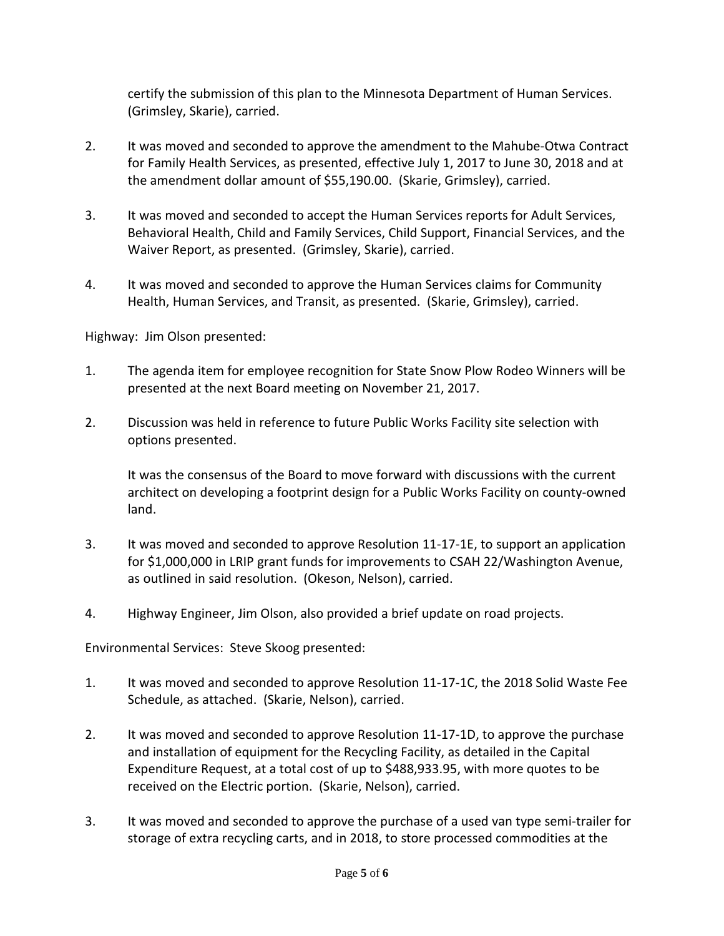certify the submission of this plan to the Minnesota Department of Human Services. (Grimsley, Skarie), carried.

- 2. It was moved and seconded to approve the amendment to the Mahube-Otwa Contract for Family Health Services, as presented, effective July 1, 2017 to June 30, 2018 and at the amendment dollar amount of \$55,190.00. (Skarie, Grimsley), carried.
- 3. It was moved and seconded to accept the Human Services reports for Adult Services, Behavioral Health, Child and Family Services, Child Support, Financial Services, and the Waiver Report, as presented. (Grimsley, Skarie), carried.
- 4. It was moved and seconded to approve the Human Services claims for Community Health, Human Services, and Transit, as presented. (Skarie, Grimsley), carried.

Highway: Jim Olson presented:

- 1. The agenda item for employee recognition for State Snow Plow Rodeo Winners will be presented at the next Board meeting on November 21, 2017.
- 2. Discussion was held in reference to future Public Works Facility site selection with options presented.

It was the consensus of the Board to move forward with discussions with the current architect on developing a footprint design for a Public Works Facility on county-owned land.

- 3. It was moved and seconded to approve Resolution 11-17-1E, to support an application for \$1,000,000 in LRIP grant funds for improvements to CSAH 22/Washington Avenue, as outlined in said resolution. (Okeson, Nelson), carried.
- 4. Highway Engineer, Jim Olson, also provided a brief update on road projects.

Environmental Services: Steve Skoog presented:

- 1. It was moved and seconded to approve Resolution 11-17-1C, the 2018 Solid Waste Fee Schedule, as attached. (Skarie, Nelson), carried.
- 2. It was moved and seconded to approve Resolution 11-17-1D, to approve the purchase and installation of equipment for the Recycling Facility, as detailed in the Capital Expenditure Request, at a total cost of up to \$488,933.95, with more quotes to be received on the Electric portion. (Skarie, Nelson), carried.
- 3. It was moved and seconded to approve the purchase of a used van type semi-trailer for storage of extra recycling carts, and in 2018, to store processed commodities at the